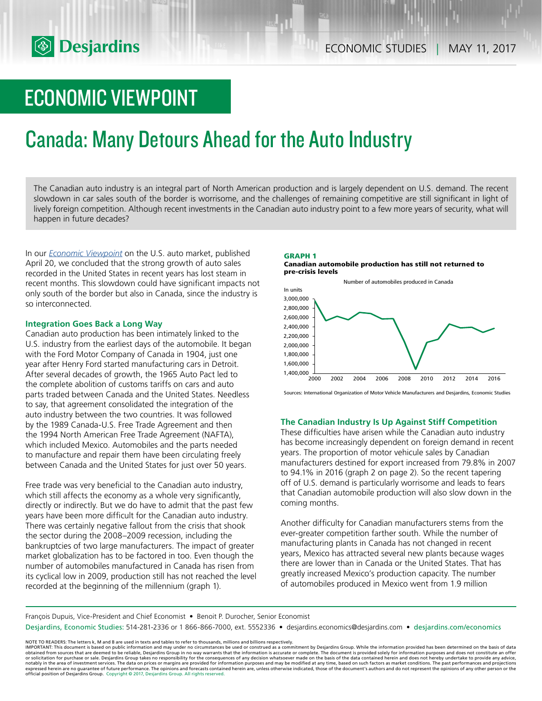# ECONOMIC VIEWPOINT

# Canada: Many Detours Ahead for the Auto Industry

The Canadian auto industry is an integral part of North American production and is largely dependent on U.S. demand. The recent slowdown in car sales south of the border is worrisome, and the challenges of remaining competitive are still significant in light of lively foreign competition. Although recent investments in the Canadian auto industry point to a few more years of security, what will happen in future decades?

In our *Economic [Viewpoint](https://www.desjardins.com/ressources/pdf/pv170420-e.pdf?resVer=1492697349000)* on the U.S. auto market, published April 20, we concluded that the strong growth of auto sales recorded in the United States in recent years has lost steam in recent months. This slowdown could have significant impacts not only south of the border but also in Canada, since the industry is so interconnected.

# **Integration Goes Back a Long Way**

Canadian auto production has been intimately linked to the U.S. industry from the earliest days of the automobile. It began with the Ford Motor Company of Canada in 1904, just one year after Henry Ford started manufacturing cars in Detroit. After several decades of growth, the 1965 Auto Pact led to the complete abolition of customs tariffs on cars and auto parts traded between Canada and the United States. Needless to say, that agreement consolidated the integration of the auto industry between the two countries. It was followed by the 1989 Canada-U.S. Free Trade Agreement and then the 1994 North American Free Trade Agreement (NAFTA), which included Mexico. Automobiles and the parts needed to manufacture and repair them have been circulating freely between Canada and the United States for just over 50 years.

Free trade was very beneficial to the Canadian auto industry, which still affects the economy as a whole very significantly, directly or indirectly. But we do have to admit that the past few years have been more difficult for the Canadian auto industry. There was certainly negative fallout from the crisis that shook the sector during the 2008–2009 recession, including the bankruptcies of two large manufacturers. The impact of greater market globalization has to be factored in too. Even though the number of automobiles manufactured in Canada has risen from its cyclical low in 2009, production still has not reached the level recorded at the beginning of the millennium (graph 1).

#### **GRAPH 1 Canadian automobile production has still not returned to pre-crisis levels**



Sources: International Organization of Motor Vehicle Manufacturers and Desjardins, Economic Studies

# **The Canadian Industry Is Up Against Stiff Competition**

These difficulties have arisen while the Canadian auto industry has become increasingly dependent on foreign demand in recent years. The proportion of motor vehicule sales by Canadian manufacturers destined for export increased from 79.8% in 2007 to 94.1% in 2016 (graph 2 on page 2). So the recent tapering off of U.S. demand is particularly worrisome and leads to fears that Canadian automobile production will also slow down in the coming months.

Another difficulty for Canadian manufacturers stems from the ever-greater competition farther south. While the number of manufacturing plants in Canada has not changed in recent years, Mexico has attracted several new plants because wages there are lower than in Canada or the United States. That has greatly increased Mexico's production capacity. The number of automobiles produced in Mexico went from 1.9 million

François Dupuis, Vice-President and Chief Economist • Benoit P. Durocher, Senior Economist Desjardins, Economic Studies: 514-281-2336 or 1 866-866-7000, ext. 5552336 • desjardins.economics@desjardins.com • [desjardins.com/economics](http://desjardins.com/economics)

NOTE TO READERS: The letters k, M and B are used in texts and tables to refer to thousands, millions and billions respectively.<br>IMPORTANT: This document is based on public information and may under no circumstances be used obtained from sources that are deemed to be reliable, Desjardins Group in no way warrants that the information is accurate or complete. The document is provided solely for information purposes and does not constitute an of expressed herein are no guarantee of future performance. The opinions and forecasts contained herein are, unless otherwise indicated, those of the document's authors and do not represent the opinions of any other person or official position of Desjardins Group. Copyright © 2017, Desjardins Group. All rights reserved.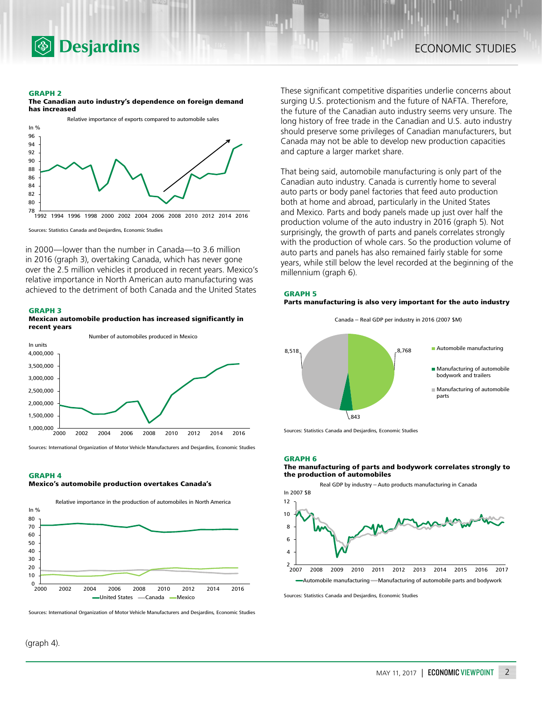

#### **GRAPH 2**





Sources: Statistics Canada and Desjardins, Economic Studies

in 2000—lower than the number in Canada—to 3.6 million in 2016 (graph 3), overtaking Canada, which has never gone over the 2.5 million vehicles it produced in recent years. Mexico's relative importance in North American auto manufacturing was achieved to the detriment of both Canada and the United States

#### **GRAPH 3**

**Mexican automobile production has increased significantly in recent years**



Sources: International Organization of Motor Vehicle Manufacturers and Desjardins, Economic Studies

#### **GRAPH 4**

#### **Mexico's automobile production overtakes Canada's**



Sources: International Organization of Motor Vehicle Manufacturers and Desjardins, Economic Studies

(graph 4).

These significant competitive disparities underlie concerns about surging U.S. protectionism and the future of NAFTA. Therefore, the future of the Canadian auto industry seems very unsure. The long history of free trade in the Canadian and U.S. auto industry should preserve some privileges of Canadian manufacturers, but Canada may not be able to develop new production capacities and capture a larger market share.

That being said, automobile manufacturing is only part of the Canadian auto industry. Canada is currently home to several auto parts or body panel factories that feed auto production both at home and abroad, particularly in the United States and Mexico. Parts and body panels made up just over half the production volume of the auto industry in 2016 (graph 5). Not surprisingly, the growth of parts and panels correlates strongly with the production of whole cars. So the production volume of auto parts and panels has also remained fairly stable for some years, while still below the level recorded at the beginning of the millennium (graph 6).

#### **GRAPH 5 Parts manufacturing is also very important for the auto industry**





Sources: Statistics Canada and Desjardins, Economic Studies

#### **GRAPH 6**

#### **The manufacturing of parts and bodywork correlates strongly to the production of automobiles**



Sources: Statistics Canada and Desjardins, Economic Studies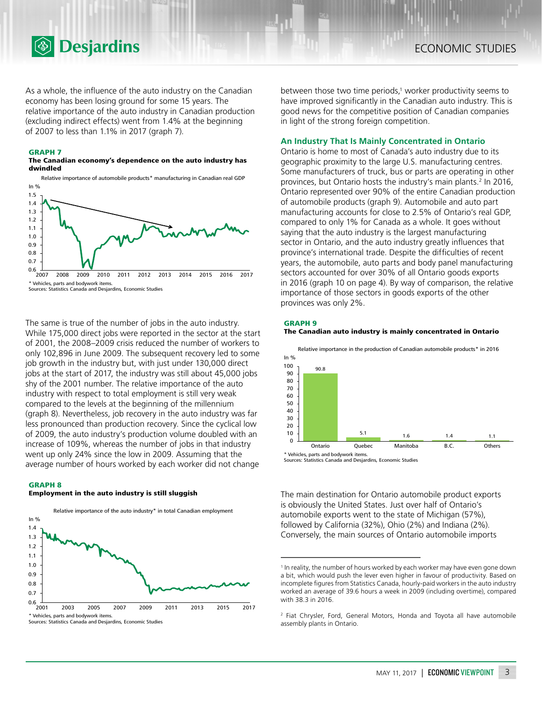

As a whole, the influence of the auto industry on the Canadian economy has been losing ground for some 15 years. The relative importance of the auto industry in Canadian production (excluding indirect effects) went from 1.4% at the beginning of 2007 to less than 1.1% in 2017 (graph 7).

#### **GRAPH 7**

#### **The Canadian economy's dependence on the auto industry has dwindled**

Relative importance of automobile products\* manufacturing in Canadian real GDP In % 1.5



Sources: Statistics Canada and Desjardins, Economic Studies

The same is true of the number of jobs in the auto industry. While 175,000 direct jobs were reported in the sector at the start of 2001, the 2008–2009 crisis reduced the number of workers to only 102,896 in June 2009. The subsequent recovery led to some job growth in the industry but, with just under 130,000 direct jobs at the start of 2017, the industry was still about 45,000 jobs shy of the 2001 number. The relative importance of the auto industry with respect to total employment is still very weak compared to the levels at the beginning of the millennium (graph 8). Nevertheless, job recovery in the auto industry was far less pronounced than production recovery. Since the cyclical low of 2009, the auto industry's production volume doubled with an increase of 109%, whereas the number of jobs in that industry went up only 24% since the low in 2009. Assuming that the average number of hours worked by each worker did not change

#### **GRAPH 8**

#### **Employment in the auto industry is still sluggish**



between those two time periods,<sup>1</sup> worker productivity seems to have improved significantly in the Canadian auto industry. This is good news for the competitive position of Canadian companies in light of the strong foreign competition.

## **An Industry That Is Mainly Concentrated in Ontario**

Ontario is home to most of Canada's auto industry due to its geographic proximity to the large U.S. manufacturing centres. Some manufacturers of truck, bus or parts are operating in other provinces, but Ontario hosts the industry's main plants.<sup>2</sup> In 2016, Ontario represented over 90% of the entire Canadian production of automobile products (graph 9). Automobile and auto part manufacturing accounts for close to 2.5% of Ontario's real GDP, compared to only 1% for Canada as a whole. It goes without saying that the auto industry is the largest manufacturing sector in Ontario, and the auto industry greatly influences that province's international trade. Despite the difficulties of recent years, the automobile, auto parts and body panel manufacturing sectors accounted for over 30% of all Ontario goods exports in 2016 (graph 10 on page 4). By way of comparison, the relative importance of those sectors in goods exports of the other provinces was only 2%.

### **GRAPH 9**





\* Vehicles, parts and bodywork items.

Sources: Statistics Canada and Desjardins, Economic Studies

The main destination for Ontario automobile product exports is obviously the United States. Just over half of Ontario's automobile exports went to the state of Michigan (57%), followed by California (32%), Ohio (2%) and Indiana (2%). Conversely, the main sources of Ontario automobile imports

<sup>&</sup>lt;sup>1</sup> In reality, the number of hours worked by each worker may have even gone down a bit, which would push the lever even higher in favour of productivity. Based on incomplete figures from Statistics Canada, hourly-paid workers in the auto industry worked an average of 39.6 hours a week in 2009 (including overtime), compared with 38.3 in 2016.

<sup>2</sup> Fiat Chrysler, Ford, General Motors, Honda and Toyota all have automobile assembly plants in Ontario.